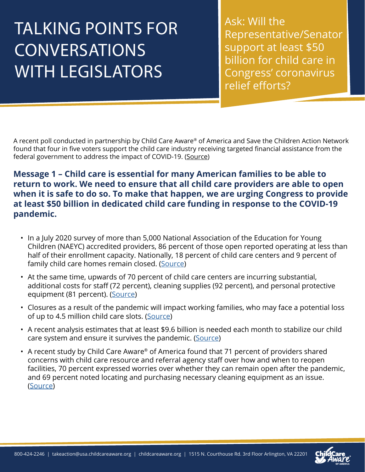## TALKING POINTS FOR **CONVERSATIONS** WITH LEGISLATORS

Ask: Will the Representative/Senator support at least \$50 billion for child care in Congress' coronavirus relief efforts?

A recent poll conducted in partnership by Child Care Aware® of America and Save the Children Action Network found that four in five voters support the child care industry receiving targeted financial assistance from the federal government to address the impact of COVID-19. ([Source](https://info.childcareaware.org/media/survey-vast-majority-of-voters-support-financial-assistance-for-americas-child-care-industry-to-address-covid-19-impact))

## **Message 1 – Child care is essential for many American families to be able to return to work. We need to ensure that all child care providers are able to open when it is safe to do so. To make that happen, we are urging Congress to provide at least \$50 billion in dedicated child care funding in response to the COVID-19 pandemic.**

- In a July 2020 survey of more than 5,000 National Association of the Education for Young Children (NAEYC) accredited providers, 86 percent of those open reported operating at less than half of their enrollment capacity. Nationally, 18 percent of child care centers and 9 percent of family child care homes remain closed. ([Source\)](https://www.naeyc.org/sites/default/files/globally-shared/downloads/PDFs/our-work/public-policy-advocacy/holding_on_until_help_comes.survey_analysis_july_2020.pdf)
- At the same time, upwards of 70 percent of child care centers are incurring substantial, additional costs for staff (72 percent), cleaning supplies (92 percent), and personal protective equipment (81 percent). ([Source](https://www.naeyc.org/sites/default/files/globally-shared/downloads/PDFs/our-work/public-policy-advocacy/holding_on_until_help_comes.survey_analysis_july_2020.pdf))
- Closures as a result of the pandemic will impact working families, who may face a potential loss of up to 4.5 million child care slots. ([Source\)](https://www.americanprogress.org/issues/early-childhood/news/2020/04/24/483817/coronavirus-pandemic-lead-permanent-loss-nearly-4-5-million-child-care-slots/)
- A recent analysis estimates that at least \$9.6 billion is needed each month to stabilize our child care system and ensure it survives the pandemic. ([Source](https://nwlc.org/resources/full-brief-child-care-is-key-to-our-economic-recovery-what-it-will-take-to-stabilize-the-system-during-this-crisis/))
- A recent study by Child Care Aware® of America found that 71 percent of providers shared concerns with child care resource and referral agency staff over how and when to reopen facilities, 70 percent expressed worries over whether they can remain open after the pandemic, and 69 percent noted locating and purchasing necessary cleaning equipment as an issue. ([Source\)](https://info.childcareaware.org/blog/the-critical-work-of-child-care-resource-and-referral-agencies-during-covid-19)